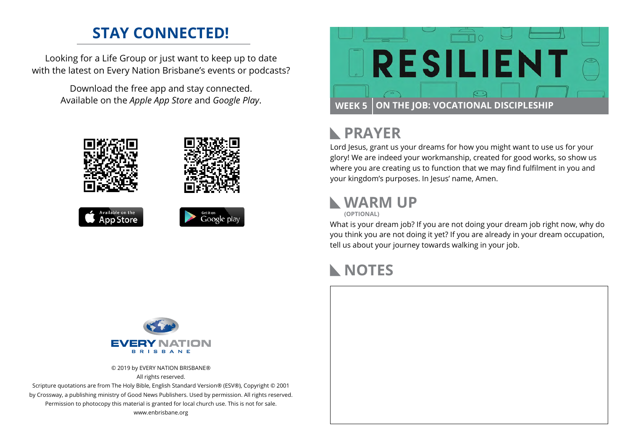#### **STAY CONNECTED!**

Looking for a Life Group or just want to keep up to date with the latest on Every Nation Brisbane's events or podcasts?

> Download the free app and stay connected. Available on the *Apple App Store* and *Google Play*.





### **PRAYER**

Lord Jesus, grant us your dreams for how you might want to use us for your glory! We are indeed your workmanship, created for good works, so show us where you are creating us to function that we may find fulfilment in you and your kingdom's purposes. In Jesus' name, Amen.

#### **WARM UP**



What is your dream job? If you are not doing your dream job right now, why do you think you are not doing it yet? If you are already in your dream occupation, tell us about your journey towards walking in your job.

# **NOTES**



© 2019 by EVERY NATION BRISBANE® All rights reserved.

Scripture quotations are from The Holy Bible, English Standard Version® (ESV®), Copyright © 2001 by Crossway, a publishing ministry of Good News Publishers. Used by permission. All rights reserved. Permission to photocopy this material is granted for local church use. This is not for sale. www.enbrisbane.org